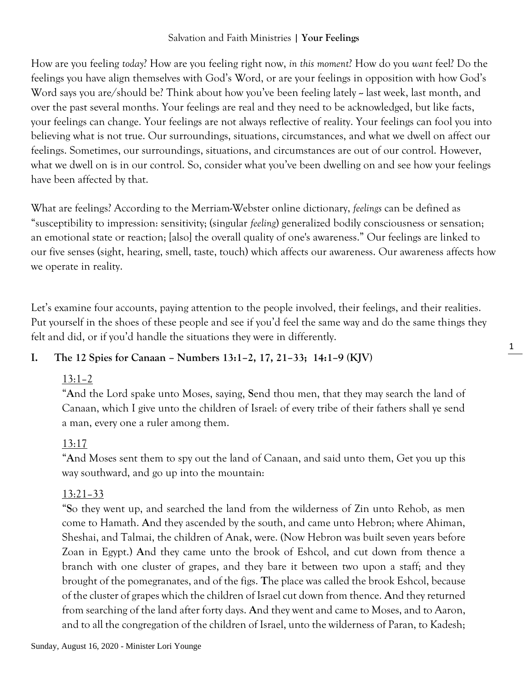## Salvation and Faith Ministries **| Your Feelings**

How are you feeling *today*? How are you feeling right now, *in this moment*? How do you *want* feel? Do the feelings you have align themselves with God's Word, or are your feelings in opposition with how God's Word says you are/should be? Think about how you've been feeling lately -- last week, last month, and over the past several months. Your feelings are real and they need to be acknowledged, but like facts, your feelings can change. Your feelings are not always reflective of reality. Your feelings can fool you into believing what is not true. Our surroundings, situations, circumstances, and what we dwell on affect our feelings. Sometimes, our surroundings, situations, and circumstances are out of our control. However, what we dwell on is in our control. So, consider what you've been dwelling on and see how your feelings have been affected by that.

What are feelings? According to the Merriam-Webster online dictionary, *feelings* can be defined as "susceptibility to impression: sensitivity; (singular *feeling*) generalized bodily consciousness or sensation; an emotional state or reaction; [also] the overall quality of one's awareness." Our feelings are linked to our five senses (sight, hearing, smell, taste, touch) which affects our awareness. Our awareness affects how we operate in reality.

Let's examine four accounts, paying attention to the people involved, their feelings, and their realities. Put yourself in the shoes of these people and see if you'd feel the same way and do the same things they felt and did, or if you'd handle the situations they were in differently.

# **I. The 12 Spies for Canaan – Numbers 13:1–2, 17, 21–33; 14:1–9 (KJV)**

# $13:1-2$

"**A**nd the Lord spake unto Moses, saying, **S**end thou men, that they may search the land of Canaan, which I give unto the children of Israel: of every tribe of their fathers shall ye send a man, every one a ruler among them.

# 13:17

"**A**nd Moses sent them to spy out the land of Canaan, and said unto them, Get you up this way southward, and go up into the mountain:

# 13:21–33

"**S**o they went up, and searched the land from the wilderness of Zin unto Rehob, as men come to Hamath. **A**nd they ascended by the south, and came unto Hebron; where Ahiman, Sheshai, and Talmai, the children of Anak, were. (Now Hebron was built seven years before Zoan in Egypt.) **A**nd they came unto the brook of Eshcol, and cut down from thence a branch with one cluster of grapes, and they bare it between two upon a staff; and they brought of the pomegranates, and of the figs. **T**he place was called the brook Eshcol, because of the cluster of grapes which the children of Israel cut down from thence. **A**nd they returned from searching of the land after forty days. **A**nd they went and came to Moses, and to Aaron, and to all the congregation of the children of Israel, unto the wilderness of Paran, to Kadesh;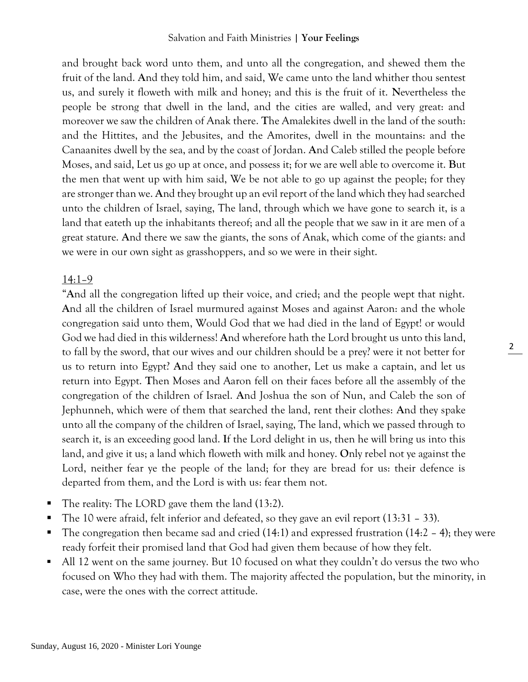and brought back word unto them, and unto all the congregation, and shewed them the fruit of the land. **A**nd they told him, and said, We came unto the land whither thou sentest us, and surely it floweth with milk and honey; and this is the fruit of it. **N**evertheless the people be strong that dwell in the land, and the cities are walled, and very great: and moreover we saw the children of Anak there. **T**he Amalekites dwell in the land of the south: and the Hittites, and the Jebusites, and the Amorites, dwell in the mountains: and the Canaanites dwell by the sea, and by the coast of Jordan. **A**nd Caleb stilled the people before Moses, and said, Let us go up at once, and possess it; for we are well able to overcome it. **B**ut the men that went up with him said, We be not able to go up against the people; for they are stronger than we. **A**nd they brought up an evil report of the land which they had searched unto the children of Israel, saying, The land, through which we have gone to search it, is a land that eateth up the inhabitants thereof; and all the people that we saw in it are men of a great stature. **A**nd there we saw the giants, the sons of Anak, which come of the giants: and we were in our own sight as grasshoppers, and so we were in their sight.

#### $14:1-9$

"**A**nd all the congregation lifted up their voice, and cried; and the people wept that night. **A**nd all the children of Israel murmured against Moses and against Aaron: and the whole congregation said unto them, Would God that we had died in the land of Egypt! or would God we had died in this wilderness! **A**nd wherefore hath the Lord brought us unto this land, to fall by the sword, that our wives and our children should be a prey? were it not better for us to return into Egypt? **A**nd they said one to another, Let us make a captain, and let us return into Egypt. **T**hen Moses and Aaron fell on their faces before all the assembly of the congregation of the children of Israel. **A**nd Joshua the son of Nun, and Caleb the son of Jephunneh, which were of them that searched the land, rent their clothes: **A**nd they spake unto all the company of the children of Israel, saying, The land, which we passed through to search it, is an exceeding good land. **I**f the Lord delight in us, then he will bring us into this land, and give it us; a land which floweth with milk and honey. **O**nly rebel not ye against the Lord, neither fear ye the people of the land; for they are bread for us: their defence is departed from them, and the Lord is with us: fear them not.

- The reality: The LORD gave them the land (13:2).
- The 10 were afraid, felt inferior and defeated, so they gave an evil report  $(13:31 33)$ .
- The congregation then became sad and cried (14:1) and expressed frustration (14:2 4); they were ready forfeit their promised land that God had given them because of how they felt.
- All 12 went on the same journey. But 10 focused on what they couldn't do versus the two who focused on Who they had with them. The majority affected the population, but the minority, in case, were the ones with the correct attitude.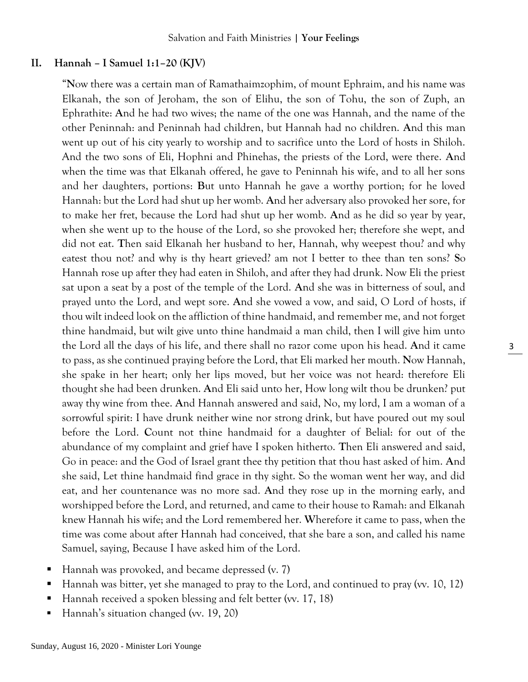#### **II. Hannah – I Samuel 1:1–20 (KJV)**

"**N**ow there was a certain man of Ramathaimzophim, of mount Ephraim, and his name was Elkanah, the son of Jeroham, the son of Elihu, the son of Tohu, the son of Zuph, an Ephrathite: **A**nd he had two wives; the name of the one was Hannah, and the name of the other Peninnah: and Peninnah had children, but Hannah had no children. **A**nd this man went up out of his city yearly to worship and to sacrifice unto the Lord of hosts in Shiloh. And the two sons of Eli, Hophni and Phinehas, the priests of the Lord, were there. **A**nd when the time was that Elkanah offered, he gave to Peninnah his wife, and to all her sons and her daughters, portions: **B**ut unto Hannah he gave a worthy portion; for he loved Hannah: but the Lord had shut up her womb. **A**nd her adversary also provoked her sore, for to make her fret, because the Lord had shut up her womb. **A**nd as he did so year by year, when she went up to the house of the Lord, so she provoked her; therefore she wept, and did not eat. **T**hen said Elkanah her husband to her, Hannah, why weepest thou? and why eatest thou not? and why is thy heart grieved? am not I better to thee than ten sons? **S**o Hannah rose up after they had eaten in Shiloh, and after they had drunk. Now Eli the priest sat upon a seat by a post of the temple of the Lord. **A**nd she was in bitterness of soul, and prayed unto the Lord, and wept sore. **A**nd she vowed a vow, and said, O Lord of hosts, if thou wilt indeed look on the affliction of thine handmaid, and remember me, and not forget thine handmaid, but wilt give unto thine handmaid a man child, then I will give him unto the Lord all the days of his life, and there shall no razor come upon his head. **A**nd it came to pass, as she continued praying before the Lord, that Eli marked her mouth. **N**ow Hannah, she spake in her heart; only her lips moved, but her voice was not heard: therefore Eli thought she had been drunken. **A**nd Eli said unto her, How long wilt thou be drunken? put away thy wine from thee. **A**nd Hannah answered and said, No, my lord, I am a woman of a sorrowful spirit: I have drunk neither wine nor strong drink, but have poured out my soul before the Lord. **C**ount not thine handmaid for a daughter of Belial: for out of the abundance of my complaint and grief have I spoken hitherto. **T**hen Eli answered and said, Go in peace: and the God of Israel grant thee thy petition that thou hast asked of him. **A**nd she said, Let thine handmaid find grace in thy sight. So the woman went her way, and did eat, and her countenance was no more sad. **A**nd they rose up in the morning early, and worshipped before the Lord, and returned, and came to their house to Ramah: and Elkanah knew Hannah his wife; and the Lord remembered her. **W**herefore it came to pass, when the time was come about after Hannah had conceived, that she bare a son, and called his name Samuel, saying, Because I have asked him of the Lord.

- Hannah was provoked, and became depressed (v. 7)
- Hannah was bitter, yet she managed to pray to the Lord, and continued to pray (w. 10, 12)
- Hannah received a spoken blessing and felt better (vv. 17, 18)
- Hannah's situation changed (vv. 19, 20)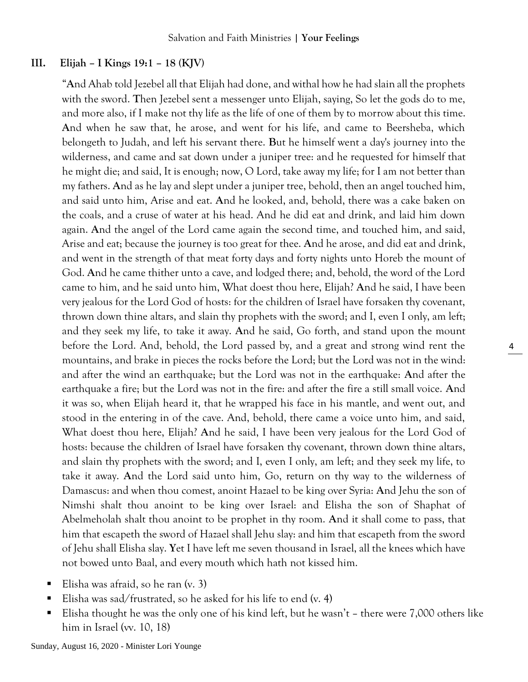### **III. Elijah – I Kings 19:1 – 18 (KJV)**

"**A**nd Ahab told Jezebel all that Elijah had done, and withal how he had slain all the prophets with the sword. **T**hen Jezebel sent a messenger unto Elijah, saying, So let the gods do to me, and more also, if I make not thy life as the life of one of them by to morrow about this time. **A**nd when he saw that, he arose, and went for his life, and came to Beersheba, which belongeth to Judah, and left his servant there. **B**ut he himself went a day's journey into the wilderness, and came and sat down under a juniper tree: and he requested for himself that he might die; and said, It is enough; now, O Lord, take away my life; for I am not better than my fathers. **A**nd as he lay and slept under a juniper tree, behold, then an angel touched him, and said unto him, Arise and eat. **A**nd he looked, and, behold, there was a cake baken on the coals, and a cruse of water at his head. And he did eat and drink, and laid him down again. **A**nd the angel of the Lord came again the second time, and touched him, and said, Arise and eat; because the journey is too great for thee. **A**nd he arose, and did eat and drink, and went in the strength of that meat forty days and forty nights unto Horeb the mount of God. **A**nd he came thither unto a cave, and lodged there; and, behold, the word of the Lord came to him, and he said unto him, What doest thou here, Elijah? **A**nd he said, I have been very jealous for the Lord God of hosts: for the children of Israel have forsaken thy covenant, thrown down thine altars, and slain thy prophets with the sword; and I, even I only, am left; and they seek my life, to take it away. **A**nd he said, Go forth, and stand upon the mount before the Lord. And, behold, the Lord passed by, and a great and strong wind rent the mountains, and brake in pieces the rocks before the Lord; but the Lord was not in the wind: and after the wind an earthquake; but the Lord was not in the earthquake: **A**nd after the earthquake a fire; but the Lord was not in the fire: and after the fire a still small voice. **A**nd it was so, when Elijah heard it, that he wrapped his face in his mantle, and went out, and stood in the entering in of the cave. And, behold, there came a voice unto him, and said, What doest thou here, Elijah? **A**nd he said, I have been very jealous for the Lord God of hosts: because the children of Israel have forsaken thy covenant, thrown down thine altars, and slain thy prophets with the sword; and I, even I only, am left; and they seek my life, to take it away. **A**nd the Lord said unto him, Go, return on thy way to the wilderness of Damascus: and when thou comest, anoint Hazael to be king over Syria: **A**nd Jehu the son of Nimshi shalt thou anoint to be king over Israel: and Elisha the son of Shaphat of Abelmeholah shalt thou anoint to be prophet in thy room. **A**nd it shall come to pass, that him that escapeth the sword of Hazael shall Jehu slay: and him that escapeth from the sword of Jehu shall Elisha slay. **Y**et I have left me seven thousand in Israel, all the knees which have not bowed unto Baal, and every mouth which hath not kissed him.

- Elisha was afraid, so he ran (v. 3)
- Elisha was sad/frustrated, so he asked for his life to end  $(v. 4)$
- Elisha thought he was the only one of his kind left, but he wasn't there were  $7,000$  others like him in Israel (vv. 10, 18)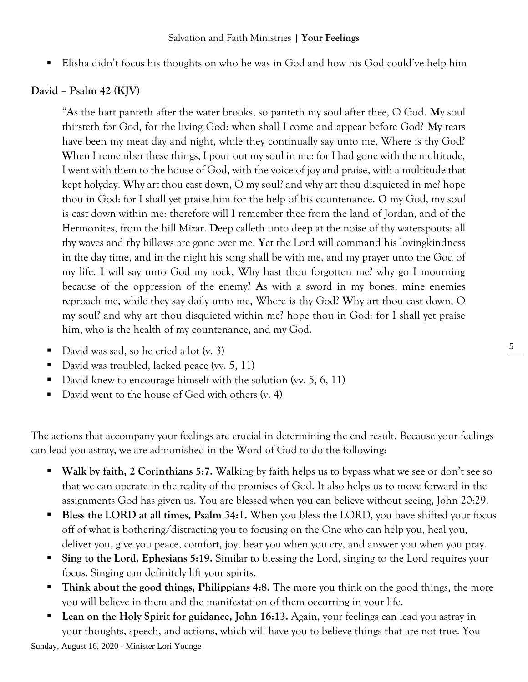### Salvation and Faith Ministries **| Your Feelings**

Elisha didn't focus his thoughts on who he was in God and how his God could've help him

### **David** – **Psalm 42 (KJV)**

"**A**s the hart panteth after the water brooks, so panteth my soul after thee, O God. **M**y soul thirsteth for God, for the living God: when shall I come and appear before God? **M**y tears have been my meat day and night, while they continually say unto me, Where is thy God? **W**hen I remember these things, I pour out my soul in me: for I had gone with the multitude, I went with them to the house of God, with the voice of joy and praise, with a multitude that kept holyday. **W**hy art thou cast down, O my soul? and why art thou disquieted in me? hope thou in God: for I shall yet praise him for the help of his countenance. **O** my God, my soul is cast down within me: therefore will I remember thee from the land of Jordan, and of the Hermonites, from the hill Mizar. **D**eep calleth unto deep at the noise of thy waterspouts: all thy waves and thy billows are gone over me. **Y**et the Lord will command his lovingkindness in the day time, and in the night his song shall be with me, and my prayer unto the God of my life. **I** will say unto God my rock, Why hast thou forgotten me? why go I mourning because of the oppression of the enemy? **A**s with a sword in my bones, mine enemies reproach me; while they say daily unto me, Where is thy God? **W**hy art thou cast down, O my soul? and why art thou disquieted within me? hope thou in God: for I shall yet praise him, who is the health of my countenance, and my God.

- David was sad, so he cried a lot  $(v, 3)$
- David was troubled, lacked peace (vv. 5, 11)
- David knew to encourage himself with the solution (vv.  $5, 6, 11$ )
- David went to the house of God with others (v. 4)

The actions that accompany your feelings are crucial in determining the end result. Because your feelings can lead you astray, we are admonished in the Word of God to do the following:

- **Walk by faith, 2 Corinthians 5:7.** Walking by faith helps us to bypass what we see or don't see so that we can operate in the reality of the promises of God. It also helps us to move forward in the assignments God has given us. You are blessed when you can believe without seeing, John 20:29.
- Bless the LORD at all times, Psalm 34:1. When you bless the LORD, you have shifted your focus off of what is bothering/distracting you to focusing on the One who can help you, heal you, deliver you, give you peace, comfort, joy, hear you when you cry, and answer you when you pray.
- **Sing to the Lord, Ephesians 5:19.** Similar to blessing the Lord, singing to the Lord requires your focus. Singing can definitely lift your spirits.
- **Think about the good things, Philippians 4:8.** The more you think on the good things, the more you will believe in them and the manifestation of them occurring in your life.
- Lean on the Holy Spirit for guidance, John 16:13. Again, your feelings can lead you astray in your thoughts, speech, and actions, which will have you to believe things that are not true. You